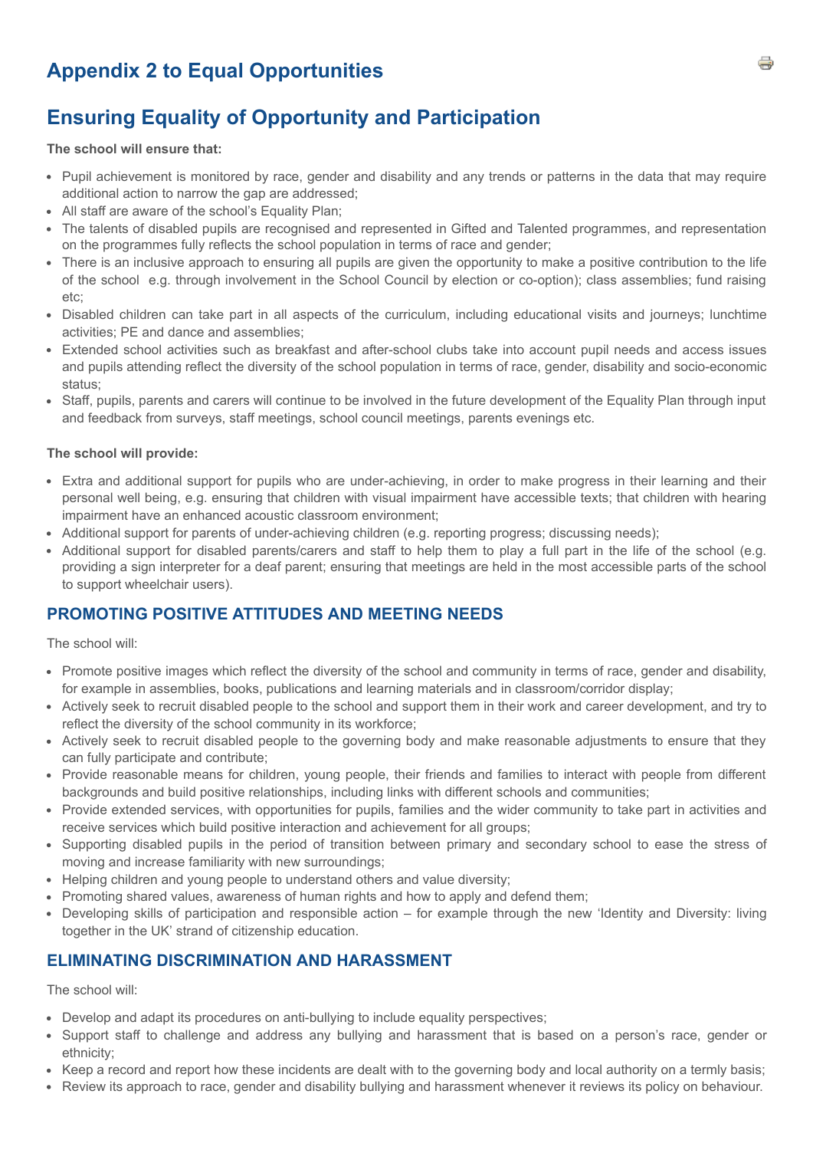# **Appendix 2 to Equal Opportunities**

## **Ensuring Equality of Opportunity and Participation**

#### **The school will ensure that:**

- Pupil achievement is monitored by race, gender and disability and any trends or patterns in the data that may require additional action to narrow the gap are addressed;
- All staff are aware of the school's Equality Plan;
- The talents of disabled pupils are recognised and represented in Gifted and Talented programmes, and representation on the programmes fully reflects the school population in terms of race and gender;
- There is an inclusive approach to ensuring all pupils are given the opportunity to make a positive contribution to the life of the school e.g. through involvement in the School Council by election or co-option); class assemblies; fund raising etc;
- Disabled children can take part in all aspects of the curriculum, including educational visits and journeys; lunchtime activities; PE and dance and assemblies;
- Extended school activities such as breakfast and after-school clubs take into account pupil needs and access issues and pupils attending reflect the diversity of the school population in terms of race, gender, disability and socio-economic status;
- Staff, pupils, parents and carers will continue to be involved in the future development of the Equality Plan through input and feedback from surveys, staff meetings, school council meetings, parents evenings etc.

#### **The school will provide:**

- Extra and additional support for pupils who are under-achieving, in order to make progress in their learning and their personal well being, e.g. ensuring that children with visual impairment have accessible texts; that children with hearing impairment have an enhanced acoustic classroom environment;
- Additional support for parents of under-achieving children (e.g. reporting progress; discussing needs);
- Additional support for disabled parents/carers and staff to help them to play a full part in the life of the school (e.g. providing a sign interpreter for a deaf parent; ensuring that meetings are held in the most accessible parts of the school to support wheelchair users).

## **PROMOTING POSITIVE ATTITUDES AND MEETING NEEDS**

#### The school will:

- Promote positive images which reflect the diversity of the school and community in terms of race, gender and disability, for example in assemblies, books, publications and learning materials and in classroom/corridor display;
- Actively seek to recruit disabled people to the school and support them in their work and career development, and try to reflect the diversity of the school community in its workforce;
- Actively seek to recruit disabled people to the governing body and make reasonable adjustments to ensure that they can fully participate and contribute;
- Provide reasonable means for children, young people, their friends and families to interact with people from different backgrounds and build positive relationships, including links with different schools and communities;
- Provide extended services, with opportunities for pupils, families and the wider community to take part in activities and receive services which build positive interaction and achievement for all groups;
- Supporting disabled pupils in the period of transition between primary and secondary school to ease the stress of moving and increase familiarity with new surroundings;
- Helping children and young people to understand others and value diversity;
- Promoting shared values, awareness of human rights and how to apply and defend them;
- Developing skills of participation and responsible action for example through the new 'Identity and Diversity: living together in the UK' strand of citizenship education.

## **ELIMINATING DISCRIMINATION AND HARASSMENT**

The school will:

- Develop and adapt its procedures on anti-bullying to include equality perspectives;
- Support staff to challenge and address any bullying and harassment that is based on a person's race, gender or ethnicity;
- Keep a record and report how these incidents are dealt with to the governing body and local authority on a termly basis;
- Review its approach to race, gender and disability bullying and harassment whenever it reviews its policy on behaviour.